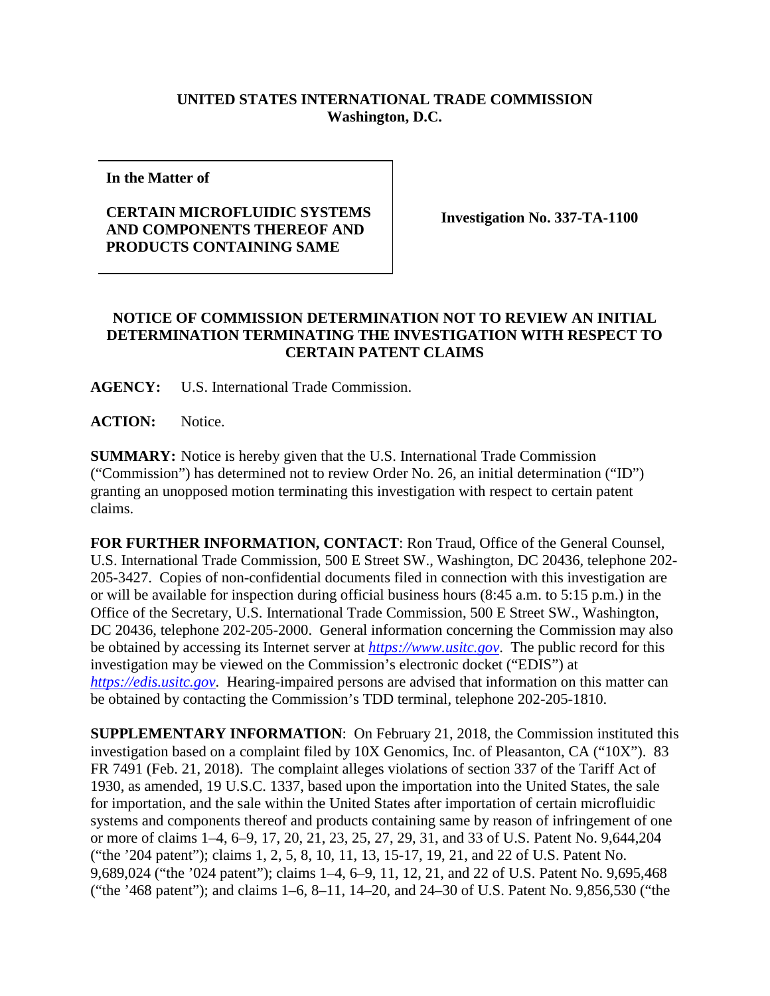## **UNITED STATES INTERNATIONAL TRADE COMMISSION Washington, D.C.**

**In the Matter of**

## **CERTAIN MICROFLUIDIC SYSTEMS AND COMPONENTS THEREOF AND PRODUCTS CONTAINING SAME**

**Investigation No. 337-TA-1100**

## **NOTICE OF COMMISSION DETERMINATION NOT TO REVIEW AN INITIAL DETERMINATION TERMINATING THE INVESTIGATION WITH RESPECT TO CERTAIN PATENT CLAIMS**

**AGENCY:** U.S. International Trade Commission.

**ACTION:** Notice.

**SUMMARY:** Notice is hereby given that the U.S. International Trade Commission ("Commission") has determined not to review Order No. 26, an initial determination ("ID") granting an unopposed motion terminating this investigation with respect to certain patent claims.

**FOR FURTHER INFORMATION, CONTACT**: Ron Traud, Office of the General Counsel, U.S. International Trade Commission, 500 E Street SW., Washington, DC 20436, telephone 202- 205-3427. Copies of non-confidential documents filed in connection with this investigation are or will be available for inspection during official business hours (8:45 a.m. to 5:15 p.m.) in the Office of the Secretary, U.S. International Trade Commission, 500 E Street SW., Washington, DC 20436, telephone 202-205-2000. General information concerning the Commission may also be obtained by accessing its Internet server at *[https://www.usitc.gov](https://www.usitc.gov/)*. The public record for this investigation may be viewed on the Commission's electronic docket ("EDIS") at *[https://edis.usitc.gov](https://edis.usitc.gov/)*. Hearing-impaired persons are advised that information on this matter can be obtained by contacting the Commission's TDD terminal, telephone 202-205-1810.

**SUPPLEMENTARY INFORMATION**: On February 21, 2018, the Commission instituted this investigation based on a complaint filed by 10X Genomics, Inc. of Pleasanton, CA ("10X"). 83 FR 7491 (Feb. 21, 2018). The complaint alleges violations of section 337 of the Tariff Act of 1930, as amended, 19 U.S.C. 1337, based upon the importation into the United States, the sale for importation, and the sale within the United States after importation of certain microfluidic systems and components thereof and products containing same by reason of infringement of one or more of claims 1–4, 6–9, 17, 20, 21, 23, 25, 27, 29, 31, and 33 of U.S. Patent No. 9,644,204 ("the '204 patent"); claims 1, 2, 5, 8, 10, 11, 13, 15-17, 19, 21, and 22 of U.S. Patent No. 9,689,024 ("the '024 patent"); claims 1–4, 6–9, 11, 12, 21, and 22 of U.S. Patent No. 9,695,468 ("the '468 patent"); and claims 1–6, 8–11, 14–20, and 24–30 of U.S. Patent No. 9,856,530 ("the